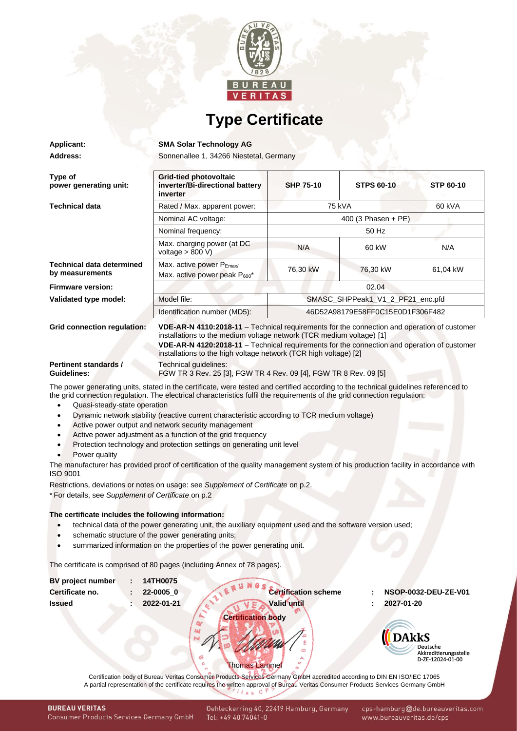

## **Type Certificate**

**Applicant: SMA Solar Technology AG**

Address: Sonnenallee 1, 34266 Niestetal, Germany

| Type of<br>power generating unit:                   | Grid-tied photovoltaic<br>inverter/Bi-directional battery<br>inverter                                                                                                                                                                                                                                                                  | <b>SHP 75-10</b>                 | <b>STPS 60-10</b> | <b>STP 60-10</b> |  |  |
|-----------------------------------------------------|----------------------------------------------------------------------------------------------------------------------------------------------------------------------------------------------------------------------------------------------------------------------------------------------------------------------------------------|----------------------------------|-------------------|------------------|--|--|
| <b>Technical data</b>                               | Rated / Max. apparent power:                                                                                                                                                                                                                                                                                                           | 75 kVA                           |                   | 60 kVA           |  |  |
|                                                     | Nominal AC voltage:                                                                                                                                                                                                                                                                                                                    | 400 (3 Phasen + PE)              |                   |                  |  |  |
|                                                     | Nominal frequency:                                                                                                                                                                                                                                                                                                                     | 50 Hz                            |                   |                  |  |  |
|                                                     | Max. charging power (at DC<br>voltage $> 800 V$ )                                                                                                                                                                                                                                                                                      | N/A                              | 60 kW             | N/A              |  |  |
| <b>Technical data determined</b><br>by measurements | Max. active power $P_{Emax}$<br>Max. active power peak P <sub>600</sub> *                                                                                                                                                                                                                                                              | 76,30 kW                         | 76,30 kW          | 61,04 kW         |  |  |
| <b>Firmware version:</b>                            | 02.04                                                                                                                                                                                                                                                                                                                                  |                                  |                   |                  |  |  |
| Validated type model:                               | Model file:                                                                                                                                                                                                                                                                                                                            | SMASC_SHPPeak1_V1_2_PF21_enc.pfd |                   |                  |  |  |
|                                                     | Identification number (MD5):                                                                                                                                                                                                                                                                                                           | 46D52A98179E58FF0C15E0D1F306F482 |                   |                  |  |  |
| <b>Grid connection regulation:</b>                  | VDE-AR-N 4110:2018-11 - Technical requirements for the connection and operation of customer<br>installations to the medium voltage network (TCR medium voltage) [1]<br>VDE-AR-N 4120:2018-11 - Technical requirements for the connection and operation of customer<br>installations to the high voltage network (TCR high voltage) [2] |                                  |                   |                  |  |  |
| <b>Pertinent standards /</b><br><b>Guidelines:</b>  | Technical guidelines:<br>FGW TR 3 Rev. 25 [3], FGW TR 4 Rev. 09 [4], FGW TR 8 Rev. 09 [5]                                                                                                                                                                                                                                              |                                  |                   |                  |  |  |

The power generating units, stated in the certificate, were tested and certified according to the technical guidelines referenced to the grid connection regulation. The electrical characteristics fulfil the requirements of the grid connection regulation:

- Quasi-steady-state operation
- Dynamic network stability (reactive current characteristic according to TCR medium voltage)
- Active power output and network security management
- Active power adjustment as a function of the grid frequency
- Protection technology and protection settings on generating unit level
- **Power quality**

The manufacturer has provided proof of certification of the quality management system of his production facility in accordance with ISO 9001

Restrictions, deviations or notes on usage: see *[Supplement of Certificate](#page-1-0)* on p.2.

\* For details, see *Supplement of Certificate* on p.2

### **The certificate includes the following information:**

- technical data of the power generating unit, the auxiliary equipment used and the software version used;
- schematic structure of the power generating units;
- <span id="page-0-1"></span>summarized information on the properties of the power generating unit.

The certificate is comprised of 80 pages (including Annex of 78 pages).

<span id="page-0-2"></span><span id="page-0-0"></span>

| <b>BV</b> project number | ÷ | 14TH0075   |                             |                                                       |
|--------------------------|---|------------|-----------------------------|-------------------------------------------------------|
| Certificate no.          | ÷ | 22-0005 0  | <b>Certification scheme</b> | NSOP-0032-DEU-ZE-V01                                  |
| <b>Issued</b>            |   | 2022-01-21 | Valid until                 | 2027-01-20                                            |
|                          |   |            | <b>Certification body</b>   |                                                       |
|                          |   |            |                             | <b>DAkkS</b>                                          |
|                          |   |            | ග<br>Φ                      | Deutsche<br>Akkreditierungsstelle<br>D-ZE-12024-01-00 |

### Thomas Lammel

Certification body of Bureau Veritas Consumer Products Services Germany GmbH accredited according to DIN EN ISO/IEC 17065 A partial representation of the certificate requires the written approval of Bureau Veritas Consumer Products Services Germany GmbH

<span id="page-0-3"></span>cps-hamburg@de.bureauveritas.com www.bureauveritas.de/cps